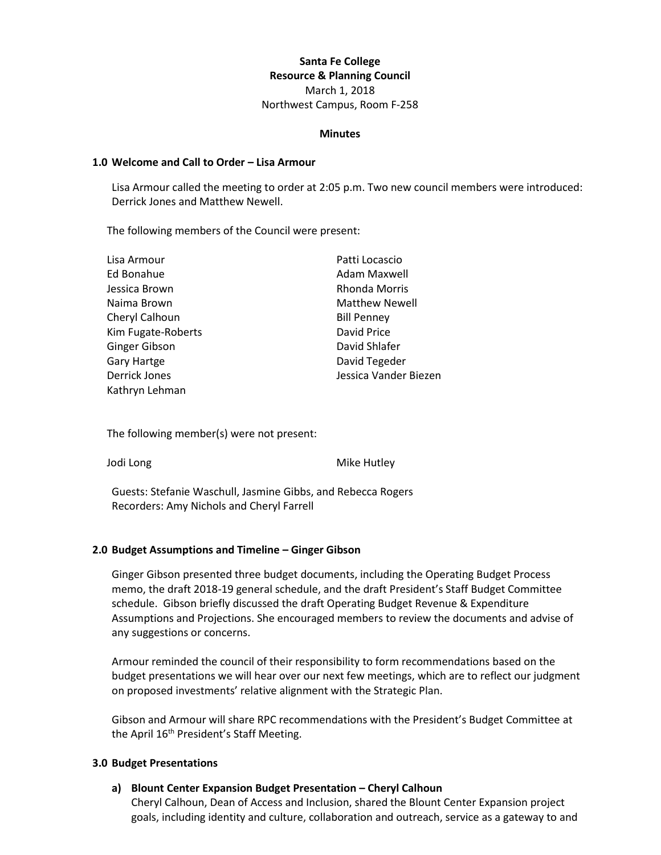# **Santa Fe College Resource & Planning Council** March 1, 2018 Northwest Campus, Room F-258

#### **Minutes**

#### **1.0 Welcome and Call to Order – Lisa Armour**

Lisa Armour called the meeting to order at 2:05 p.m. Two new council members were introduced: Derrick Jones and Matthew Newell.

The following members of the Council were present:

| Lisa Armour          | Patti Locascio        |
|----------------------|-----------------------|
| Ed Bonahue           | Adam Maxwell          |
| Jessica Brown        | Rhonda Morris         |
| Naima Brown          | <b>Matthew Newell</b> |
| Cheryl Calhoun       | <b>Bill Penney</b>    |
| Kim Fugate-Roberts   | David Price           |
| Ginger Gibson        | David Shlafer         |
| Gary Hartge          | David Tegeder         |
| <b>Derrick Jones</b> | Jessica Vander Biezen |
| Kathryn Lehman       |                       |

The following member(s) were not present:

Jodi Long **Mike Hutley** 

Guests: Stefanie Waschull, Jasmine Gibbs, and Rebecca Rogers Recorders: Amy Nichols and Cheryl Farrell

### **2.0 Budget Assumptions and Timeline – Ginger Gibson**

Ginger Gibson presented three budget documents, including the Operating Budget Process memo, the draft 2018-19 general schedule, and the draft President's Staff Budget Committee schedule. Gibson briefly discussed the draft Operating Budget Revenue & Expenditure Assumptions and Projections. She encouraged members to review the documents and advise of any suggestions or concerns.

Armour reminded the council of their responsibility to form recommendations based on the budget presentations we will hear over our next few meetings, which are to reflect our judgment on proposed investments' relative alignment with the Strategic Plan.

Gibson and Armour will share RPC recommendations with the President's Budget Committee at the April 16<sup>th</sup> President's Staff Meeting.

### **3.0 Budget Presentations**

### **a) Blount Center Expansion Budget Presentation – Cheryl Calhoun**

Cheryl Calhoun, Dean of Access and Inclusion, shared the Blount Center Expansion project goals, including identity and culture, collaboration and outreach, service as a gateway to and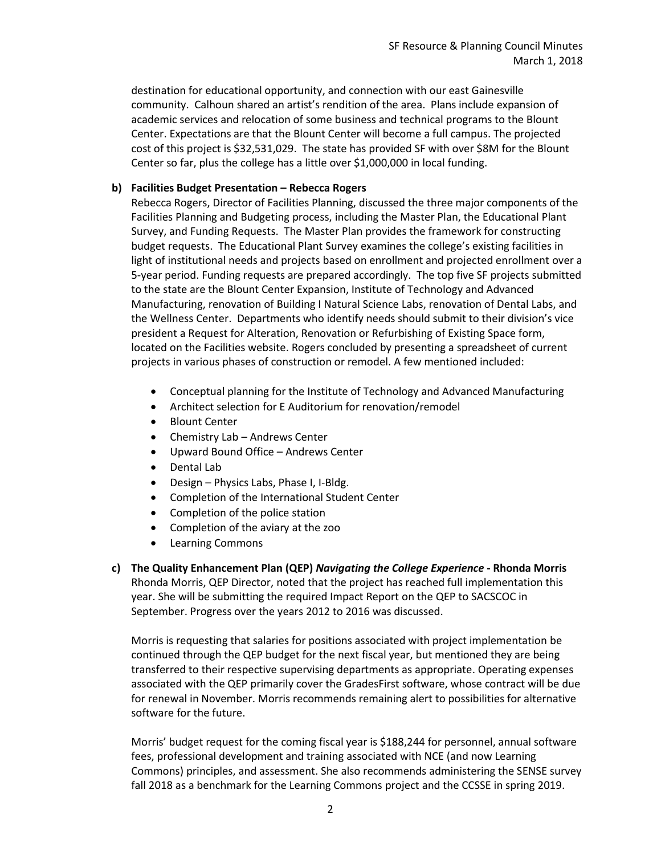destination for educational opportunity, and connection with our east Gainesville community. Calhoun shared an artist's rendition of the area. Plans include expansion of academic services and relocation of some business and technical programs to the Blount Center. Expectations are that the Blount Center will become a full campus. The projected cost of this project is \$32,531,029. The state has provided SF with over \$8M for the Blount Center so far, plus the college has a little over \$1,000,000 in local funding.

# **b) Facilities Budget Presentation – Rebecca Rogers**

Rebecca Rogers, Director of Facilities Planning, discussed the three major components of the Facilities Planning and Budgeting process, including the Master Plan, the Educational Plant Survey, and Funding Requests. The Master Plan provides the framework for constructing budget requests. The Educational Plant Survey examines the college's existing facilities in light of institutional needs and projects based on enrollment and projected enrollment over a 5-year period. Funding requests are prepared accordingly. The top five SF projects submitted to the state are the Blount Center Expansion, Institute of Technology and Advanced Manufacturing, renovation of Building I Natural Science Labs, renovation of Dental Labs, and the Wellness Center. Departments who identify needs should submit to their division's vice president a Request for Alteration, Renovation or Refurbishing of Existing Space form, located on the Facilities website. Rogers concluded by presenting a spreadsheet of current projects in various phases of construction or remodel. A few mentioned included:

- Conceptual planning for the Institute of Technology and Advanced Manufacturing
- Architect selection for E Auditorium for renovation/remodel
- Blount Center
- Chemistry Lab Andrews Center
- Upward Bound Office Andrews Center
- Dental Lab
- Design Physics Labs, Phase I, I-Bldg.
- Completion of the International Student Center
- Completion of the police station
- Completion of the aviary at the zoo
- Learning Commons
- **c) The Quality Enhancement Plan (QEP)** *Navigating the College Experience* **- Rhonda Morris** Rhonda Morris, QEP Director, noted that the project has reached full implementation this year. She will be submitting the required Impact Report on the QEP to SACSCOC in September. Progress over the years 2012 to 2016 was discussed.

Morris is requesting that salaries for positions associated with project implementation be continued through the QEP budget for the next fiscal year, but mentioned they are being transferred to their respective supervising departments as appropriate. Operating expenses associated with the QEP primarily cover the GradesFirst software, whose contract will be due for renewal in November. Morris recommends remaining alert to possibilities for alternative software for the future.

Morris' budget request for the coming fiscal year is \$188,244 for personnel, annual software fees, professional development and training associated with NCE (and now Learning Commons) principles, and assessment. She also recommends administering the SENSE survey fall 2018 as a benchmark for the Learning Commons project and the CCSSE in spring 2019.